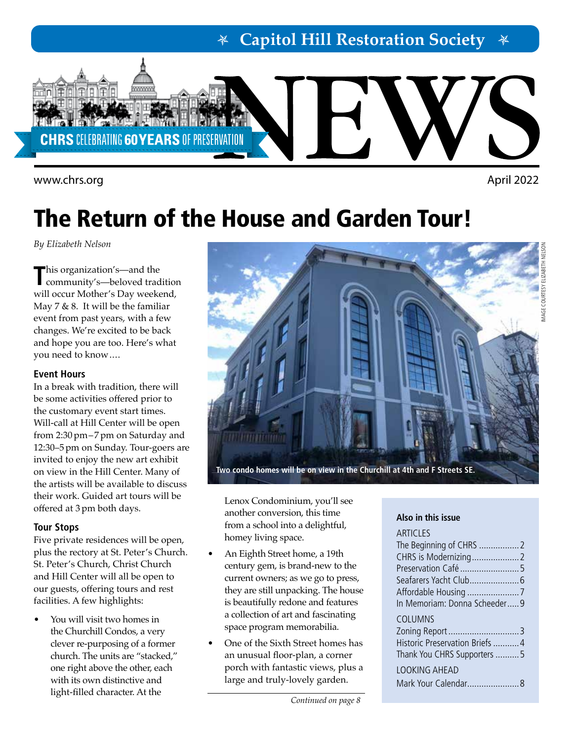**Capitol Hill Restoration Society**



<www.chrs.org> April 2022

# The Return of the House and Garden Tour!

*By Elizabeth Nelson* 

**T**his organization's—and the community's—beloved tradition will occur Mother's Day weekend, May 7 & 8. It will be the familiar event from past years, with a few changes. We're excited to be back and hope you are too. Here's what you need to know....

### **Event Hours**

In a break with tradition, there will be some activities offered prior to the customary event start times. Will-call at Hill Center will be open from 2:30 pm–7 pm on Saturday and 12:30–5 pm on Sunday. Tour-goers are invited to enjoy the new art exhibit on view in the Hill Center. Many of the artists will be available to discuss their work. Guided art tours will be offered at 3 pm both days.

### **Tour Stops**

Five private residences will be open, plus the rectory at St. Peter's Church. St. Peter's Church, Christ Church and Hill Center will all be open to our guests, offering tours and rest facilities. A few highlights:

You will visit two homes in the Churchill Condos, a very clever re-purposing of a former church. The units are "stacked," one right above the other, each with its own distinctive and light-filled character. At the



Lenox Condominium, you'll see another conversion, this time from a school into a delightful, homey living space.

- An Eighth Street home, a 19th century gem, is brand-new to the current owners; as we go to press, they are still unpacking. The house is beautifully redone and features a collection of art and fascinating space program memorabilia.
- One of the Sixth Street homes has an unusual floor-plan, a corner porch with fantastic views, plus a large and truly-lovely garden.

### **Also in this issue**

### **ARTICLES**

| Preservation Café 5             |  |
|---------------------------------|--|
|                                 |  |
|                                 |  |
| In Memoriam: Donna Scheeder9    |  |
| COLUMNS                         |  |
|                                 |  |
| Historic Preservation Briefs  4 |  |
| Thank You CHRS Supporters 5     |  |
| <b>LOOKING AHEAD</b>            |  |
|                                 |  |
|                                 |  |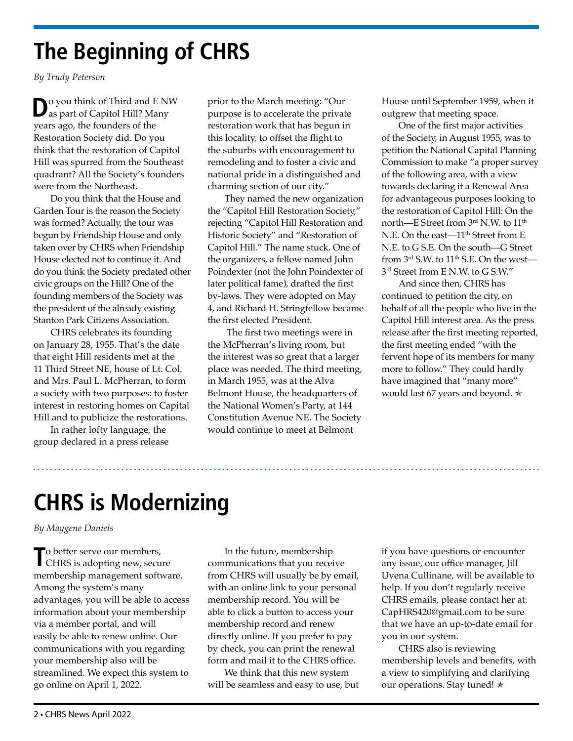# **The Beginning of CHRS**

*By Trudy Peterson*

**D**o you think of Third and E NW as part of Capitol Hill? Many years ago, the founders of the Restoration Society did. Do you think that the restoration of Capitol Hill was spurred from the Southeast quadrant? All the Society's founders were from the Northeast.

Do you think that the House and Garden Tour is the reason the Society was formed? Actually, the tour was begun by Friendship House and only taken over by CHRS when Friendship House elected not to continue it. And do you think the Society predated other civic groups on the Hill? One of the founding members of the Society was the president of the already existing Stanton Park Citizens Association.

CHRS celebrates its founding on January 28, 1955. That's the date that eight Hill residents met at the 11 Third Street NE, house of Lt. Col. and Mrs. Paul L. McPherran, to form a society with two purposes: to foster interest in restoring homes on Capital Hill and to publicize the restorations.

In rather lofty language, the group declared in a press release

prior to the March meeting: "Our purpose is to accelerate the private restoration work that has begun in this locality, to offset the flight to the suburbs with encouragement to remodeling and to foster a civic and national pride in a distinguished and charming section of our city."

They named the new organization the "Capitol Hill Restoration Society," rejecting "Capitol Hill Restoration and Historic Society" and "Restoration of Capitol Hill." The name stuck. One of the organizers, a fellow named John Poindexter (not the John Poindexter of later political fame), drafted the first by-laws. They were adopted on May 4, and Richard H. Stringfellow became the first elected President.

 The first two meetings were in the McPherran's living room, but the interest was so great that a larger place was needed. The third meeting, in March 1955, was at the Alva Belmont House, the headquarters of the National Women's Party, at 144 Constitution Avenue NE. The Society would continue to meet at Belmont

House until September 1959, when it outgrew that meeting space.

One of the first major activities of the Society, in August 1955, was to petition the National Capital Planning Commission to make "a proper survey of the following area, with a view towards declaring it a Renewal Area for advantageous purposes looking to the restoration of Capitol Hill: On the north—E Street from 3rd N.W. to 11<sup>th</sup> N.E. On the east— $11<sup>th</sup>$  Street from E N.E. to G S.E. On the south—G Street from  $3<sup>rd</sup>$  S.W. to  $11<sup>th</sup>$  S.E. On the west—  $3<sup>rd</sup>$  Street from E N.W. to G S.W."

And since then, CHRS has continued to petition the city, on behalf of all the people who live in the Capitol Hill interest area. As the press release after the first meeting reported, the first meeting ended "with the fervent hope of its members for many more to follow." They could hardly have imagined that "many more" would last 67 years and beyond.  $\star$ 

# **CHRS is Modernizing**

*By Maygene Daniels*

To better serve our members,<br>CHRS is adopting new, secure membership management software. Among the system's many advantages, you will be able to access information about your membership via a member portal, and will easily be able to renew online. Our communications with you regarding your membership also will be streamlined. We expect this system to go online on April 1, 2022.

In the future, membership communications that you receive from CHRS will usually be by email, with an online link to your personal membership record. You will be able to click a button to access your membership record and renew directly online. If you prefer to pay by check, you can print the renewal form and mail it to the CHRS office.

We think that this new system will be seamless and easy to use, but

if you have questions or encounter any issue, our office manager, Jill Uvena Cullinane, will be available to help. If you don't regularly receive CHRS emails, please contact her at: [CapHRS420@gmail.com](mailto:CapHRS420%40gmail.com?subject=) to be sure that we have an up-to-date email for you in our system.

CHRS also is reviewing membership levels and benefits, with a view to simplifying and clarifying our operations. Stay tuned! ★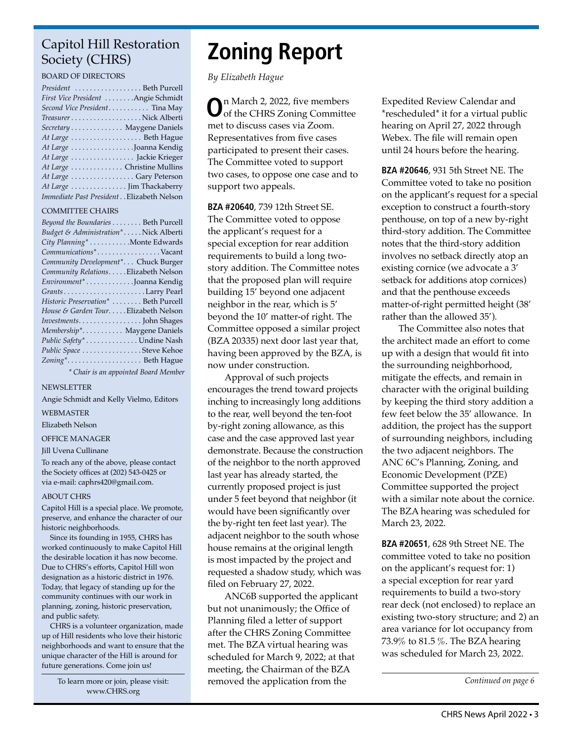### Capitol Hill Restoration Society (CHRS)

#### BOARD OF DIRECTORS

| President  Beth Purcell                   |
|-------------------------------------------|
| First Vice President Angie Schmidt        |
| Second Vice President Tina May            |
|                                           |
| Secretary Maygene Daniels                 |
| At Large Beth Hague                       |
| At Large Joanna Kendig                    |
| At Large  Jackie Krieger                  |
| At Large Christine Mullins                |
| At Large Gary Peterson                    |
| At Large  Jim Thackaberry                 |
| Immediate Past President Elizabeth Nelson |

#### COMMITTEE CHAIRS

| Beyond the Boundaries Beth Purcell    |
|---------------------------------------|
| Budget & Administration*Nick Alberti  |
| City Planning* Monte Edwards          |
| Communications*Vacant                 |
| Community Development* Chuck Burger   |
| Community Relations. Elizabeth Nelson |
| Environment* Joanna Kendig            |
|                                       |
| Historic Preservation*  Beth Purcell  |
| House & Garden TourElizabeth Nelson   |
|                                       |
| Membership* Maygene Daniels           |
| Public Safety* Undine Nash            |
| Public Space Steve Kehoe              |
| Zoning* Beth Hague                    |
| * Chair is an appointed Board Member  |

NEWSLETTER

Angie Schmidt and Kelly Vielmo, Editors

WEBMASTER

Elizabeth Nelson

OFFICE MANAGER

#### Jill Uvena Cullinane

To reach any of the above, please contact the Society offices at (202) 543-0425 or via e-mail: caphrs420@gmail.com.

#### ABOUT CHRS

Capitol Hill is a special place. We promote, preserve, and enhance the character of our historic neighborhoods.

Since its founding in 1955, CHRS has worked continuously to make Capitol Hill the desirable location it has now become. Due to CHRS's efforts, Capitol Hill won designation as a historic district in 1976. Today, that legacy of standing up for the community continues with our work in planning, zoning, historic preservation, and public safety.

CHRS is a volunteer organization, made up of Hill residents who love their historic neighborhoods and want to ensure that the unique character of the Hill is around for future generations. Come join us!

> To learn more or join, please visit: [www.CHRS.org](http://chrs.org/)

# **Zoning Report**

*By Elizabeth Hague*

**O**n March 2, 2022, five members of the CHRS Zoning Committee met to discuss cases via Zoom. Representatives from five cases participated to present their cases. The Committee voted to support two cases, to oppose one case and to support two appeals.

**BZA #20640**, 739 12th Street SE. The Committee voted to oppose the applicant's request for a special exception for rear addition requirements to build a long twostory addition. The Committee notes that the proposed plan will require building 15' beyond one adjacent neighbor in the rear, which is 5' beyond the 10' matter-of right. The Committee opposed a similar project (BZA 20335) next door last year that, having been approved by the BZA, is now under construction.

Approval of such projects encourages the trend toward projects inching to increasingly long additions to the rear, well beyond the ten-foot by-right zoning allowance, as this case and the case approved last year demonstrate. Because the construction of the neighbor to the north approved last year has already started, the currently proposed project is just under 5 feet beyond that neighbor (it would have been significantly over the by-right ten feet last year). The adjacent neighbor to the south whose house remains at the original length is most impacted by the project and requested a shadow study, which was filed on February 27, 2022.

ANC6B supported the applicant but not unanimously; the Office of Planning filed a letter of support after the CHRS Zoning Committee met. The BZA virtual hearing was scheduled for March 9, 2022; at that meeting, the Chairman of the BZA removed the application from the

Expedited Review Calendar and \*rescheduled\* it for a virtual public hearing on April 27, 2022 through Webex. The file will remain open until 24 hours before the hearing.

**BZA #20646**, 931 5th Street NE. The Committee voted to take no position on the applicant's request for a special exception to construct a fourth-story penthouse, on top of a new by-right third-story addition. The Committee notes that the third-story addition involves no setback directly atop an existing cornice (we advocate a 3' setback for additions atop cornices) and that the penthouse exceeds matter-of-right permitted height (38' rather than the allowed 35').

The Committee also notes that the architect made an effort to come up with a design that would fit into the surrounding neighborhood, mitigate the effects, and remain in character with the original building by keeping the third story addition a few feet below the 35' allowance. In addition, the project has the support of surrounding neighbors, including the two adjacent neighbors. The ANC 6C's Planning, Zoning, and Economic Development (PZE) Committee supported the project with a similar note about the cornice. The BZA hearing was scheduled for March 23, 2022.

**BZA #20651**, 628 9th Street NE. The committee voted to take no position on the applicant's request for: 1) a special exception for rear yard requirements to build a two-story rear deck (not enclosed) to replace an existing two-story structure; and 2) an area variance for lot occupancy from 73.9% to 81.5 %. The BZA hearing was scheduled for March 23, 2022.

*Continued on page 6*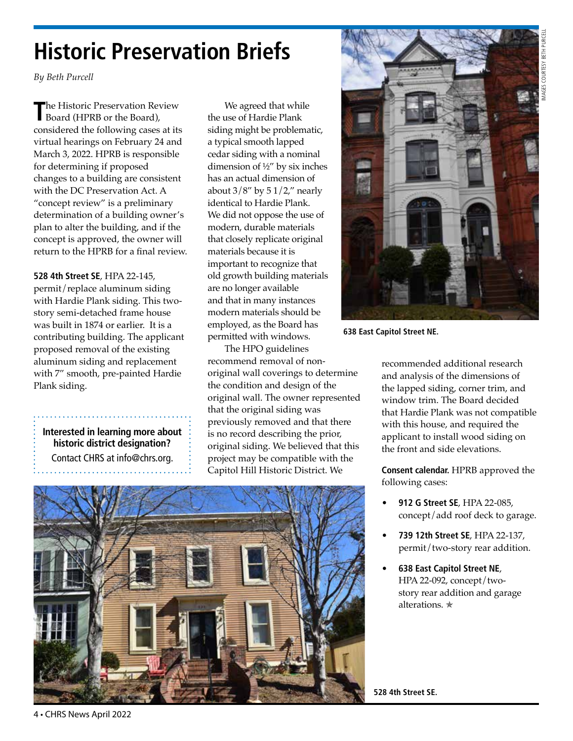# IMAGES COURTESY BETH PURCELL AGES COURTESY BETH PU

# **Historic Preservation Briefs**

*By Beth Purcell*

**T**he Historic Preservation Review Board (HPRB or the Board), considered the following cases at its virtual hearings on February 24 and March 3, 2022. HPRB is responsible for determining if proposed changes to a building are consistent with the DC Preservation Act. A "concept review" is a preliminary determination of a building owner's plan to alter the building, and if the concept is approved, the owner will return to the HPRB for a final review.

**528 4th Street SE**, HPA 22-145, permit/replace aluminum siding with Hardie Plank siding. This twostory semi-detached frame house was built in 1874 or earlier. It is a contributing building. The applicant proposed removal of the existing aluminum siding and replacement with 7" smooth, pre-painted Hardie Plank siding.

**Interested in learning more about historic district designation?** Contact CHRS at info@chrs.org.

We agreed that while the use of Hardie Plank siding might be problematic, a typical smooth lapped cedar siding with a nominal dimension of ½" by six inches has an actual dimension of about  $3/8''$  by  $51/2''$  nearly identical to Hardie Plank. We did not oppose the use of modern, durable materials that closely replicate original materials because it is important to recognize that old growth building materials are no longer available and that in many instances modern materials should be employed, as the Board has permitted with windows.

The HPO guidelines recommend removal of nonoriginal wall coverings to determine the condition and design of the original wall. The owner represented that the original siding was previously removed and that there is no record describing the prior, original siding. We believed that this project may be compatible with the Capitol Hill Historic District. We





**638 East Capitol Street NE.** 

recommended additional research and analysis of the dimensions of the lapped siding, corner trim, and window trim. The Board decided that Hardie Plank was not compatible with this house, and required the applicant to install wood siding on the front and side elevations.

**Consent calendar.** HPRB approved the following cases:

- **912 G Street SE**, HPA 22-085, concept/add roof deck to garage.
- **739 12th Street SE**, HPA 22-137, permit/two-story rear addition.
- **638 East Capitol Street NE**, HPA 22-092, concept/twostory rear addition and garage alterations. ✯

**528 4th Street SE.**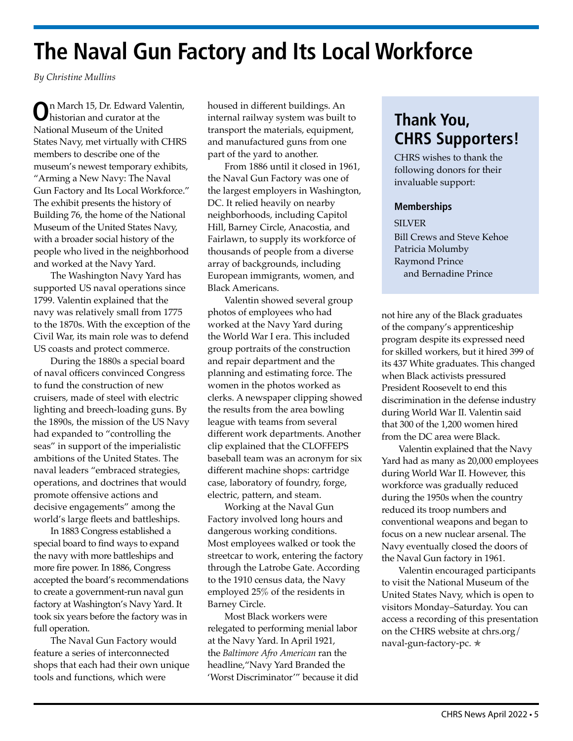## **The Naval Gun Factory and Its Local Workforce**

*By Christine Mullins*

**O**n March 15, Dr. Edward Valentin, historian and curator at the National Museum of the United States Navy, met virtually with CHRS members to describe one of the museum's newest temporary exhibits, "Arming a New Navy: The Naval Gun Factory and Its Local Workforce." The exhibit presents the history of Building 76, the home of the National Museum of the United States Navy, with a broader social history of the people who lived in the neighborhood and worked at the Navy Yard.

The Washington Navy Yard has supported US naval operations since 1799. Valentin explained that the navy was relatively small from 1775 to the 1870s. With the exception of the Civil War, its main role was to defend US coasts and protect commerce.

During the 1880s a special board of naval officers convinced Congress to fund the construction of new cruisers, made of steel with electric lighting and breech-loading guns. By the 1890s, the mission of the US Navy had expanded to "controlling the seas" in support of the imperialistic ambitions of the United States. The naval leaders "embraced strategies, operations, and doctrines that would promote offensive actions and decisive engagements" among the world's large fleets and battleships.

In 1883 Congress established a special board to find ways to expand the navy with more battleships and more fire power. In 1886, Congress accepted the board's recommendations to create a government-run naval gun factory at Washington's Navy Yard. It took six years before the factory was in full operation.

The Naval Gun Factory would feature a series of interconnected shops that each had their own unique tools and functions, which were

housed in different buildings. An internal railway system was built to transport the materials, equipment, and manufactured guns from one part of the yard to another.

From 1886 until it closed in 1961, the Naval Gun Factory was one of the largest employers in Washington, DC. It relied heavily on nearby neighborhoods, including Capitol Hill, Barney Circle, Anacostia, and Fairlawn, to supply its workforce of thousands of people from a diverse array of backgrounds, including European immigrants, women, and Black Americans.

Valentin showed several group photos of employees who had worked at the Navy Yard during the World War I era. This included group portraits of the construction and repair department and the planning and estimating force. The women in the photos worked as clerks. A newspaper clipping showed the results from the area bowling league with teams from several different work departments. Another clip explained that the CLOFFEPS baseball team was an acronym for six different machine shops: cartridge case, laboratory of foundry, forge, electric, pattern, and steam.

Working at the Naval Gun Factory involved long hours and dangerous working conditions. Most employees walked or took the streetcar to work, entering the factory through the Latrobe Gate. According to the 1910 census data, the Navy employed 25% of the residents in Barney Circle.

Most Black workers were relegated to performing menial labor at the Navy Yard. In April 1921, the *Baltimore Afro American* ran the headline,"Navy Yard Branded the 'Worst Discriminator'" because it did

### **Thank You, CHRS Supporters!**

CHRS wishes to thank the following donors for their invaluable support:

### **Memberships**

**SILVER** Bill Crews and Steve Kehoe Patricia Molumby Raymond Prince and Bernadine Prince

not hire any of the Black graduates of the company's apprenticeship program despite its expressed need for skilled workers, but it hired 399 of its 437 White graduates. This changed when Black activists pressured President Roosevelt to end this discrimination in the defense industry during World War II. Valentin said that 300 of the 1,200 women hired from the DC area were Black.

Valentin explained that the Navy Yard had as many as 20,000 employees during World War II. However, this workforce was gradually reduced during the 1950s when the country reduced its troop numbers and conventional weapons and began to focus on a new nuclear arsenal. The Navy eventually closed the doors of the Naval Gun factory in 1961.

Valentin encouraged participants to visit the National Museum of the United States Navy, which is open to visitors Monday–Saturday. You can access a recording of this presentation on the CHRS website at chrs.org/ naval-gun-factory-pc. **★**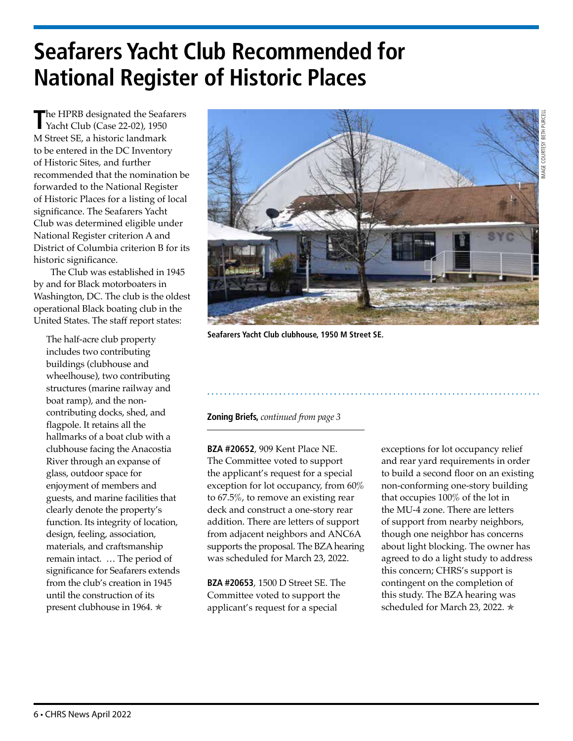# **Seafarers Yacht Club Recommended for National Register of Historic Places**

**T**he HPRB designated the Seafarers Yacht Club (Case 22-02), 1950 M Street SE, a historic landmark to be entered in the DC Inventory of Historic Sites, and further recommended that the nomination be forwarded to the National Register of Historic Places for a listing of local significance. The Seafarers Yacht Club was determined eligible under National Register criterion A and District of Columbia criterion B for its historic significance.

The Club was established in 1945 by and for Black motorboaters in Washington, DC. The club is the oldest operational Black boating club in the United States. The staff report states:

The half-acre club property includes two contributing buildings (clubhouse and wheelhouse), two contributing structures (marine railway and boat ramp), and the noncontributing docks, shed, and flagpole. It retains all the hallmarks of a boat club with a clubhouse facing the Anacostia River through an expanse of glass, outdoor space for enjoyment of members and guests, and marine facilities that clearly denote the property's function. Its integrity of location, design, feeling, association, materials, and craftsmanship remain intact. … The period of significance for Seafarers extends from the club's creation in 1945 until the construction of its present clubhouse in 1964.  $★$ 



**Seafarers Yacht Club clubhouse, 1950 M Street SE.**

### **Zoning Briefs,** *continued from page 3*

**BZA #20652**, 909 Kent Place NE. The Committee voted to support the applicant's request for a special exception for lot occupancy, from 60% to 67.5%, to remove an existing rear deck and construct a one-story rear addition. There are letters of support from adjacent neighbors and ANC6A supports the proposal. The BZA hearing was scheduled for March 23, 2022.

**BZA #20653**, 1500 D Street SE. The Committee voted to support the applicant's request for a special

exceptions for lot occupancy relief and rear yard requirements in order to build a second floor on an existing non-conforming one-story building that occupies 100% of the lot in the MU-4 zone. There are letters of support from nearby neighbors, though one neighbor has concerns about light blocking. The owner has agreed to do a light study to address this concern; CHRS's support is contingent on the completion of this study. The BZA hearing was scheduled for March 23, 2022. ∗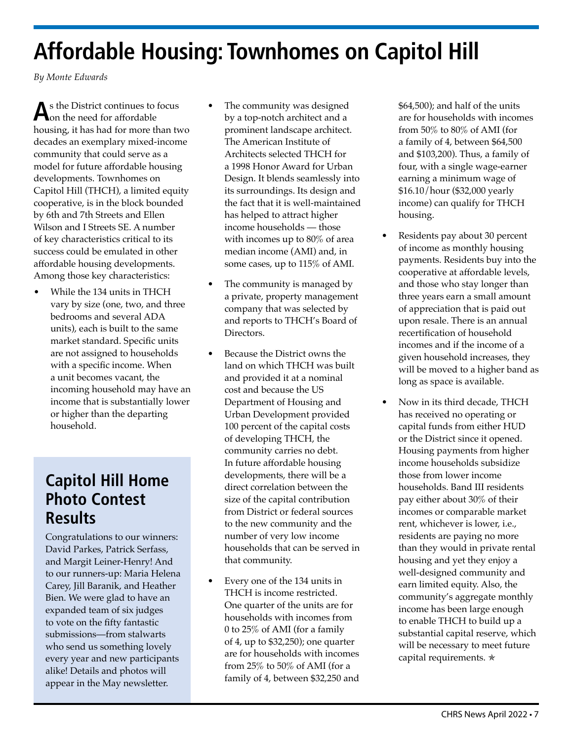# **Affordable Housing: Townhomes on Capitol Hill**

*By Monte Edwards*

As the District continues to focus<br>
on the need for affordable housing, it has had for more than two decades an exemplary mixed-income community that could serve as a model for future affordable housing developments. Townhomes on Capitol Hill (THCH), a limited equity cooperative, is in the block bounded by 6th and 7th Streets and Ellen Wilson and I Streets SE. A number of key characteristics critical to its success could be emulated in other affordable housing developments. Among those key characteristics:

• While the 134 units in THCH vary by size (one, two, and three bedrooms and several ADA units), each is built to the same market standard. Specific units are not assigned to households with a specific income. When a unit becomes vacant, the incoming household may have an income that is substantially lower or higher than the departing household.

### **Capitol Hill Home Photo Contest Results**

Congratulations to our winners: David Parkes, Patrick Serfass, and Margit Leiner-Henry! And to our runners-up: Maria Helena Carey, Jill Baranik, and Heather Bien. We were glad to have an expanded team of six judges to vote on the fifty fantastic submissions—from stalwarts who send us something lovely every year and new participants alike! Details and photos will appear in the May newsletter.

- The community was designed by a top-notch architect and a prominent landscape architect. The American Institute of Architects selected THCH for a 1998 Honor Award for Urban Design. It blends seamlessly into its surroundings. Its design and the fact that it is well-maintained has helped to attract higher income households — those with incomes up to 80% of area median income (AMI) and, in some cases, up to 115% of AMI.
- The community is managed by a private, property management company that was selected by and reports to THCH's Board of Directors.
- Because the District owns the land on which THCH was built and provided it at a nominal cost and because the US Department of Housing and Urban Development provided 100 percent of the capital costs of developing THCH, the community carries no debt. In future affordable housing developments, there will be a direct correlation between the size of the capital contribution from District or federal sources to the new community and the number of very low income households that can be served in that community.
- Every one of the 134 units in THCH is income restricted. One quarter of the units are for households with incomes from 0 to 25% of AMI (for a family of 4, up to \$32,250); one quarter are for households with incomes from 25% to 50% of AMI (for a family of 4, between \$32,250 and

\$64,500); and half of the units are for households with incomes from 50% to 80% of AMI (for a family of 4, between \$64,500 and \$103,200). Thus, a family of four, with a single wage-earner earning a minimum wage of \$16.10/hour (\$32,000 yearly income) can qualify for THCH housing.

- Residents pay about 30 percent of income as monthly housing payments. Residents buy into the cooperative at affordable levels, and those who stay longer than three years earn a small amount of appreciation that is paid out upon resale. There is an annual recertification of household incomes and if the income of a given household increases, they will be moved to a higher band as long as space is available.
- Now in its third decade, THCH has received no operating or capital funds from either HUD or the District since it opened. Housing payments from higher income households subsidize those from lower income households. Band III residents pay either about 30% of their incomes or comparable market rent, whichever is lower, i.e., residents are paying no more than they would in private rental housing and yet they enjoy a well-designed community and earn limited equity. Also, the community's aggregate monthly income has been large enough to enable THCH to build up a substantial capital reserve, which will be necessary to meet future capital requirements. **★**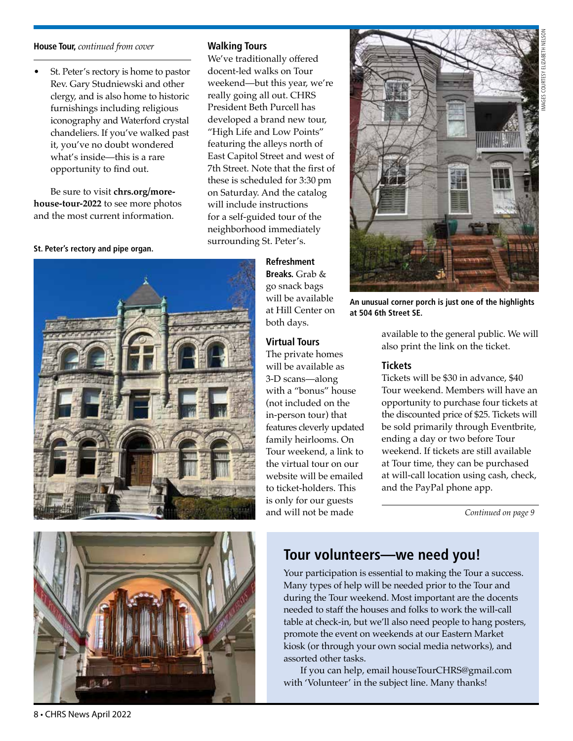# IMAGES COURTESY ELIZABETH NELSON **GES COURTESY ELIZABETH**

#### **House Tour,** *continued from cover*

• St. Peter's rectory is home to pastor Rev. Gary Studniewski and other clergy, and is also home to historic furnishings including religious iconography and Waterford crystal chandeliers. If you've walked past it, you've no doubt wondered what's inside—this is a rare opportunity to find out.

Be sure to visit **[chrs.org/more](http://chrs.org/more-house-tour-2022)[house-tour-2022](http://chrs.org/more-house-tour-2022)** to see more photos and the most current information.

#### **St. Peter's rectory and pipe organ.**

**Walking Tours**

We've traditionally offered docent-led walks on Tour weekend—but this year, we're really going all out. CHRS President Beth Purcell has developed a brand new tour, "High Life and Low Points" featuring the alleys north of East Capitol Street and west of 7th Street. Note that the first of these is scheduled for 3:30 pm on Saturday. And the catalog will include instructions for a self-guided tour of the neighborhood immediately surrounding St. Peter's.

> **Refreshment Breaks.** Grab & go snack bags will be available at Hill Center on both days.

### **Virtual Tours**

The private homes will be available as 3-D scans—along with a "bonus" house (not included on the in-person tour) that features cleverly updated family heirlooms. On Tour weekend, a link to the virtual tour on our website will be emailed to ticket-holders. This is only for our guests and will not be made



**An unusual corner porch is just one of the highlights at 504 6th Street SE.** 

> available to the general public. We will also print the link on the ticket.

### **Tickets**

Tickets will be \$30 in advance, \$40 Tour weekend. Members will have an opportunity to purchase four tickets at the discounted price of \$25. Tickets will be sold primarily through Eventbrite, ending a day or two before Tour weekend. If tickets are still available at Tour time, they can be purchased at will-call location using cash, check, and the PayPal phone app.

*Continued on page 9* 



### **Tour volunteers—we need you!**

Your participation is essential to making the Tour a success. Many types of help will be needed prior to the Tour and during the Tour weekend. Most important are the docents needed to staff the houses and folks to work the will-call table at check-in, but we'll also need people to hang posters, promote the event on weekends at our Eastern Market kiosk (or through your own social media networks), and assorted other tasks.

If you can help, email [houseTourCHRS@gmail.com](mailto:houseTourCHRS%40gmail.com?subject=) with 'Volunteer' in the subject line. Many thanks!

8 • CHRS News April 2022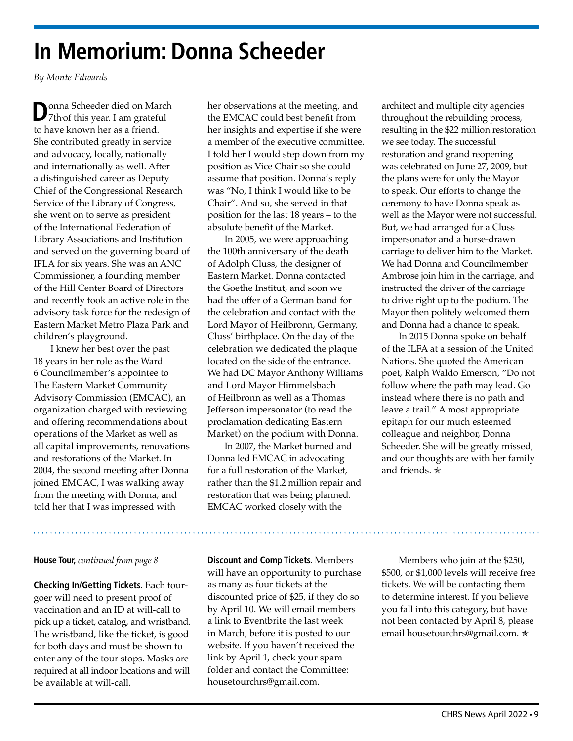### **In Memorium: Donna Scheeder**

*By Monte Edwards*

**D**onna Scheeder died on March<br>
7th of this year. I am grateful to have known her as a friend. She contributed greatly in service and advocacy, locally, nationally and internationally as well. After a distinguished career as Deputy Chief of the Congressional Research Service of the Library of Congress, she went on to serve as president of the International Federation of Library Associations and Institution and served on the governing board of IFLA for six years. She was an ANC Commissioner, a founding member of the Hill Center Board of Directors and recently took an active role in the advisory task force for the redesign of Eastern Market Metro Plaza Park and children's playground.

I knew her best over the past 18 years in her role as the Ward 6 Councilmember's appointee to The Eastern Market Community Advisory Commission (EMCAC), an organization charged with reviewing and offering recommendations about operations of the Market as well as all capital improvements, renovations and restorations of the Market. In 2004, the second meeting after Donna joined EMCAC, I was walking away from the meeting with Donna, and told her that I was impressed with

### **House Tour,** *continued from page 8*

**Checking In/Getting Tickets.** Each tourgoer will need to present proof of vaccination and an ID at will-call to pick up a ticket, catalog, and wristband. The wristband, like the ticket, is good for both days and must be shown to enter any of the tour stops. Masks are required at all indoor locations and will be available at will-call.

her observations at the meeting, and the EMCAC could best benefit from her insights and expertise if she were a member of the executive committee. I told her I would step down from my position as Vice Chair so she could assume that position. Donna's reply was "No, I think I would like to be Chair". And so, she served in that position for the last 18 years – to the absolute benefit of the Market.

In 2005, we were approaching the 100th anniversary of the death of Adolph Cluss, the designer of Eastern Market. Donna contacted the Goethe Institut, and soon we had the offer of a German band for the celebration and contact with the Lord Mayor of Heilbronn, Germany, Cluss' birthplace. On the day of the celebration we dedicated the plaque located on the side of the entrance. We had DC Mayor Anthony Williams and Lord Mayor Himmelsbach of Heilbronn as well as a Thomas Jefferson impersonator (to read the proclamation dedicating Eastern Market) on the podium with Donna.

In 2007, the Market burned and Donna led EMCAC in advocating for a full restoration of the Market, rather than the \$1.2 million repair and restoration that was being planned. EMCAC worked closely with the

architect and multiple city agencies throughout the rebuilding process, resulting in the \$22 million restoration we see today. The successful restoration and grand reopening was celebrated on June 27, 2009, but the plans were for only the Mayor to speak. Our efforts to change the ceremony to have Donna speak as well as the Mayor were not successful. But, we had arranged for a Cluss impersonator and a horse-drawn carriage to deliver him to the Market. We had Donna and Councilmember Ambrose join him in the carriage, and instructed the driver of the carriage to drive right up to the podium. The Mayor then politely welcomed them and Donna had a chance to speak.

In 2015 Donna spoke on behalf of the ILFA at a session of the United Nations. She quoted the American poet, Ralph Waldo Emerson, "Do not follow where the path may lead. Go instead where there is no path and leave a trail." A most appropriate epitaph for our much esteemed colleague and neighbor, Donna Scheeder. She will be greatly missed, and our thoughts are with her family and friends. <del>★</del>

**Discount and Comp Tickets.** Members will have an opportunity to purchase as many as four tickets at the discounted price of \$25, if they do so by April 10. We will email members a link to Eventbrite the last week in March, before it is posted to our website. If you haven't received the link by April 1, check your spam folder and contact the Committee: [housetourchrs@gmail.com](mailto:housetourchrs%40gmail.com?subject=).

Members who join at the \$250, \$500, or \$1,000 levels will receive free tickets. We will be contacting them to determine interest. If you believe you fall into this category, but have not been contacted by April 8, please email [housetourchrs@gmail.com](mailto:housetourchrs%40gmail.com?subject=). \*